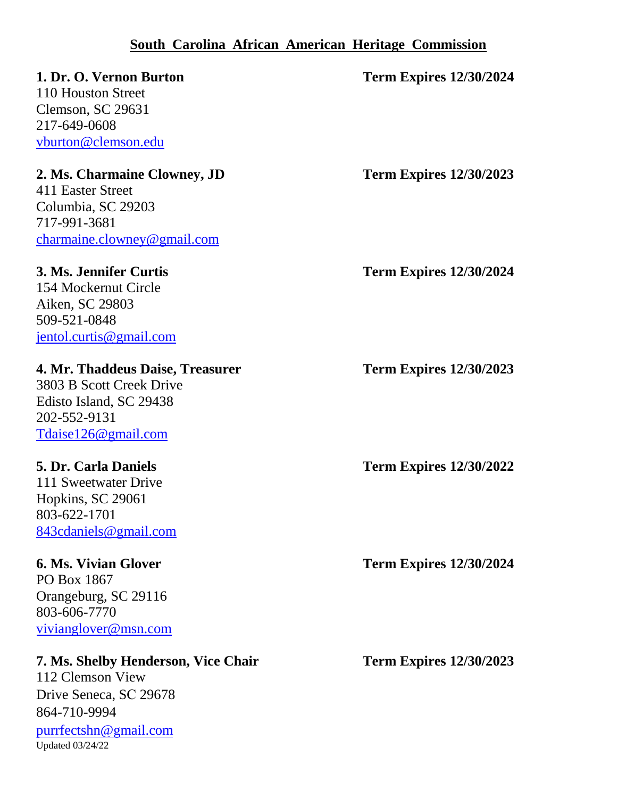### **South Carolina African American Heritage Commission**

### **1. Dr. O. Vernon Burton Term Expires 12/30/2024**

110 Houston Street Clemson, SC 29631 217-649-0608 [vburton@clemson.edu](mailto:vburton@clemson.edu) 

### **2. Ms. Charmaine Clowney, JD Term Expires 12/30/2023**

411 Easter Street Columbia, SC 29203 717-991-3681 [charmaine.clowney@gmail.com](mailto:charmaine.clowney@gmail.com)

154 Mockernut Circle Aiken, SC 29803 509-521-0848 [jentol.curtis@gmail.com](mailto:jentol.curtis@gmail.com)

### **4. Mr. Thaddeus Daise, Treasurer Term Expires 12/30/2023**

3803 B Scott Creek Drive Edisto Island, SC 29438 202-552-9131 [Tdaise126@gmail.com](mailto:Tdaise126@gmail.com)

111 Sweetwater Drive Hopkins, SC 29061 803-622-1701 [843cdaniels@gmail.com](mailto:843cdaniels@gmail.com)

PO Box 1867 Orangeburg, SC 29116 803-606-7770 [vivianglover@msn.com](mailto:vivianglover@msn.com)

### **7. Ms. Shelby Henderson, Vice Chair Term Expires 12/30/2023**

112 Clemson View Drive Seneca, SC 29678 864-710-9994 [purrfectshn@gmail.com](mailto:purrfectshn@gmail.com) Updated 03/24/22

**3. Ms. Jennifer Curtis Term Expires 12/30/2024**

**5. Dr. Carla Daniels Term Expires 12/30/2022**

**6. Ms. Vivian Glover Term Expires 12/30/2024**